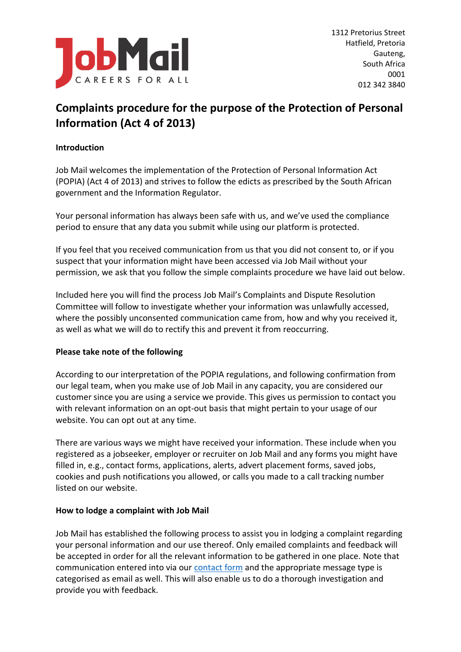

# **Complaints procedure for the purpose of the Protection of Personal Information (Act 4 of 2013)**

## **Introduction**

Job Mail welcomes the implementation of the Protection of Personal Information Act (POPIA) (Act 4 of 2013) and strives to follow the edicts as prescribed by the South African government and the Information Regulator.

Your personal information has always been safe with us, and we've used the compliance period to ensure that any data you submit while using our platform is protected.

If you feel that you received communication from us that you did not consent to, or if you suspect that your information might have been accessed via Job Mail without your permission, we ask that you follow the simple complaints procedure we have laid out below.

Included here you will find the process Job Mail's Complaints and Dispute Resolution Committee will follow to investigate whether your information was unlawfully accessed, where the possibly unconsented communication came from, how and why you received it, as well as what we will do to rectify this and prevent it from reoccurring.

## **Please take note of the following**

According to our interpretation of the POPIA regulations, and following confirmation from our legal team, when you make use of Job Mail in any capacity, you are considered our customer since you are using a service we provide. This gives us permission to contact you with relevant information on an opt-out basis that might pertain to your usage of our website. You can opt out at any time.

There are various ways we might have received your information. These include when you registered as a jobseeker, employer or recruiter on Job Mail and any forms you might have filled in, e.g., contact forms, applications, alerts, advert placement forms, saved jobs, cookies and push notifications you allowed, or calls you made to a call tracking number listed on our website.

#### **How to lodge a complaint with Job Mail**

Job Mail has established the following process to assist you in lodging a complaint regarding your personal information and our use thereof. Only emailed complaints and feedback will be accepted in order for all the relevant information to be gathered in one place. Note that communication entered into via our [contact form](https://www.jobmail.co.za/contact-us) and the appropriate message type is categorised as email as well. This will also enable us to do a thorough investigation and provide you with feedback.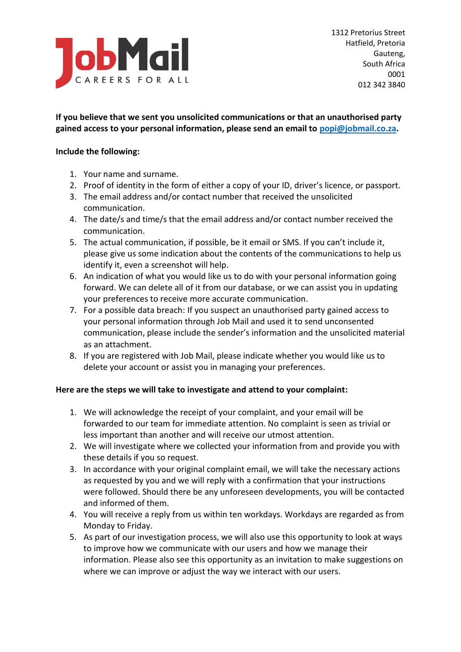

# **If you believe that we sent you unsolicited communications or that an unauthorised party gained access to your personal information, please send an email to [popi@jobmail.co.za.](mailto:popi@jobmail.co.za)**

#### **Include the following:**

- 1. Your name and surname.
- 2. Proof of identity in the form of either a copy of your ID, driver's licence, or passport.
- 3. The email address and/or contact number that received the unsolicited communication.
- 4. The date/s and time/s that the email address and/or contact number received the communication.
- 5. The actual communication, if possible, be it email or SMS. If you can't include it, please give us some indication about the contents of the communications to help us identify it, even a screenshot will help.
- 6. An indication of what you would like us to do with your personal information going forward. We can delete all of it from our database, or we can assist you in updating your preferences to receive more accurate communication.
- 7. For a possible data breach: If you suspect an unauthorised party gained access to your personal information through Job Mail and used it to send unconsented communication, please include the sender's information and the unsolicited material as an attachment.
- 8. If you are registered with Job Mail, please indicate whether you would like us to delete your account or assist you in managing your preferences.

## **Here are the steps we will take to investigate and attend to your complaint:**

- 1. We will acknowledge the receipt of your complaint, and your email will be forwarded to our team for immediate attention. No complaint is seen as trivial or less important than another and will receive our utmost attention.
- 2. We will investigate where we collected your information from and provide you with these details if you so request.
- 3. In accordance with your original complaint email, we will take the necessary actions as requested by you and we will reply with a confirmation that your instructions were followed. Should there be any unforeseen developments, you will be contacted and informed of them.
- 4. You will receive a reply from us within ten workdays. Workdays are regarded as from Monday to Friday.
- 5. As part of our investigation process, we will also use this opportunity to look at ways to improve how we communicate with our users and how we manage their information. Please also see this opportunity as an invitation to make suggestions on where we can improve or adjust the way we interact with our users.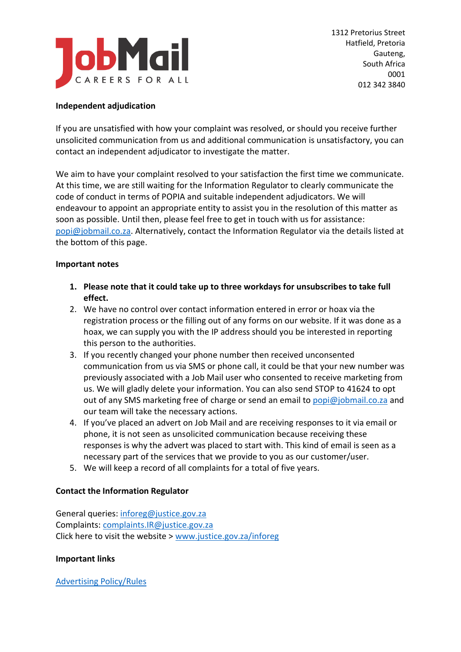

#### **Independent adjudication**

If you are unsatisfied with how your complaint was resolved, or should you receive further unsolicited communication from us and additional communication is unsatisfactory, you can contact an independent adjudicator to investigate the matter.

We aim to have your complaint resolved to your satisfaction the first time we communicate. At this time, we are still waiting for the Information Regulator to clearly communicate the code of conduct in terms of POPIA and suitable independent adjudicators. We will endeavour to appoint an appropriate entity to assist you in the resolution of this matter as soon as possible. Until then, please feel free to get in touch with us for assistance: [popi@jobmail.co.za.](mailto:popi@jobmail.co.za) Alternatively, contact the Information Regulator via the details listed at the bottom of this page.

#### **Important notes**

- **1. Please note that it could take up to three workdays for unsubscribes to take full effect.**
- 2. We have no control over contact information entered in error or hoax via the registration process or the filling out of any forms on our website. If it was done as a hoax, we can supply you with the IP address should you be interested in reporting this person to the authorities.
- 3. If you recently changed your phone number then received unconsented communication from us via SMS or phone call, it could be that your new number was previously associated with a Job Mail user who consented to receive marketing from us. We will gladly delete your information. You can also send STOP to 41624 to opt out of any SMS marketing free of charge or send an email to [popi@jobmail.co.za](mailto:popi@jobmail.co.za) and our team will take the necessary actions.
- 4. If you've placed an advert on Job Mail and are receiving responses to it via email or phone, it is not seen as unsolicited communication because receiving these responses is why the advert was placed to start with. This kind of email is seen as a necessary part of the services that we provide to you as our customer/user.
- 5. We will keep a record of all complaints for a total of five years.

## **Contact the Information Regulator**

General queries: [inforeg@justice.gov.za](mailto:inforeg@justice.gov.za) Complaints: [complaints.IR@justice.gov.za](mailto:complaints.IR@justice.gov.za) Click here to visit the website > [www.justice.gov.za/inforeg](http://www.justice.gov.za/inforeg)

#### **Important links**

[Advertising Policy/Rules](https://blog.jobmail.co.za/free-advert-criteria-terms-conditions-of-use/)